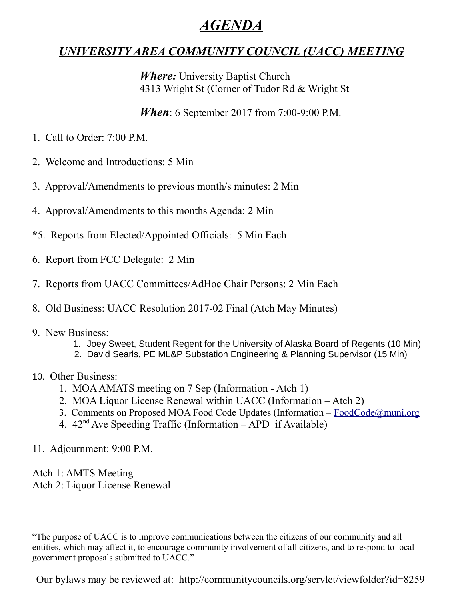# *AGENDA*

## *UNIVERSITY AREA COMMUNITY COUNCIL (UACC) MEETING*

*Where:* University Baptist Church 4313 Wright St (Corner of Tudor Rd & Wright St

*When*: 6 September 2017 from 7:00-9:00 P.M.

- 1. Call to Order: 7:00 P.M.
- 2. Welcome and Introductions: 5 Min
- 3. Approval/Amendments to previous month/s minutes: 2 Min
- 4. Approval/Amendments to this months Agenda: 2 Min
- **\***5. Reports from Elected/Appointed Officials: 5 Min Each
- 6. Report from FCC Delegate: 2 Min
- 7. Reports from UACC Committees/AdHoc Chair Persons: 2 Min Each
- 8. Old Business: UACC Resolution 2017-02 Final (Atch May Minutes)

### 9. New Business:

- 1. Joey Sweet, Student Regent for the University of Alaska Board of Regents (10 Min)
- 2. David Searls, PE ML&P Substation Engineering & Planning Supervisor (15 Min)

### 10. Other Business:

- 1. MOA AMATS meeting on 7 Sep (Information Atch 1)
- 2. MOA Liquor License Renewal within UACC (Information Atch 2)
- 3. Comments on Proposed MOA Food Code Updates (Information – [FoodCode@muni.org](mailto:FoodCode@muni.org)
- 4.  $42<sup>nd</sup>$  Ave Speeding Traffic (Information APD if Available)
- 11. Adjournment: 9:00 P.M.

Atch 1: AMTS Meeting Atch 2: Liquor License Renewal

"The purpose of UACC is to improve communications between the citizens of our community and all entities, which may affect it, to encourage community involvement of all citizens, and to respond to local government proposals submitted to UACC."

Our bylaws may be reviewed at: http://communitycouncils.org/servlet/viewfolder?id=8259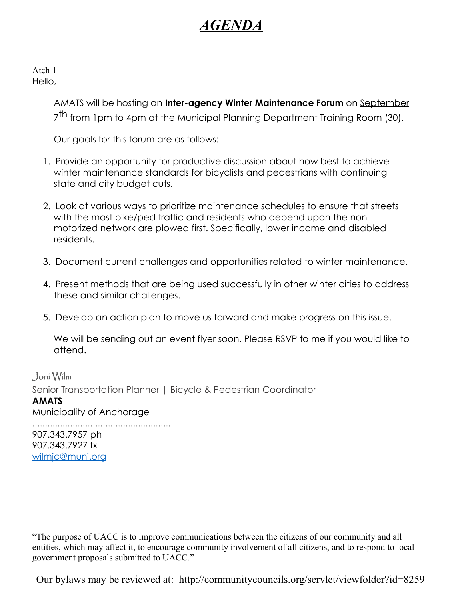# *AGENDA*

Atch 1 Hello,

> AMATS will be hosting an **Inter-agency Winter Maintenance Forum** on September 7<sup>th</sup> from 1pm to 4pm at the Municipal Planning Department Training Room (30).

Our goals for this forum are as follows:

- 1. Provide an opportunity for productive discussion about how best to achieve winter maintenance standards for bicyclists and pedestrians with continuing state and city budget cuts.
- 2. Look at various ways to prioritize maintenance schedules to ensure that streets with the most bike/ped traffic and residents who depend upon the nonmotorized network are plowed first. Specifically, lower income and disabled residents.
- 3. Document current challenges and opportunities related to winter maintenance.
- 4. Present methods that are being used successfully in other winter cities to address these and similar challenges.
- 5. Develop an action plan to move us forward and make progress on this issue.

We will be sending out an event flyer soon. Please RSVP to me if you would like to attend.

Joni Wilm Senior Transportation Planner | Bicycle & Pedestrian Coordinator **AMATS**

Municipality of Anchorage

....................................................... 907.343.7957 ph 907.343.7927 fx [wilmjc@muni.org](mailto:wilmjc@muni.org)

"The purpose of UACC is to improve communications between the citizens of our community and all entities, which may affect it, to encourage community involvement of all citizens, and to respond to local government proposals submitted to UACC."

Our bylaws may be reviewed at: http://communitycouncils.org/servlet/viewfolder?id=8259